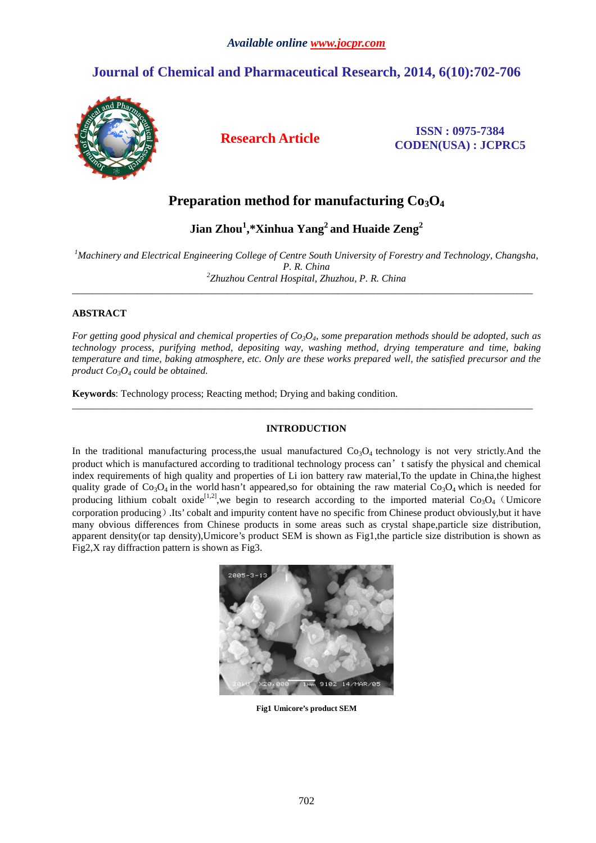# **Journal of Chemical and Pharmaceutical Research, 2014, 6(10):702-706**



# **Research Article ISSN : 0975-7384 CODEN(USA) : JCPRC5**

# **Preparation method for manufacturing Co3O<sup>4</sup>**

**Jian Zhou<sup>1</sup> ,\*Xinhua Yang<sup>2</sup>and Huaide Zeng<sup>2</sup>**

*<sup>1</sup>Machinery and Electrical Engineering College of Centre South University of Forestry and Technology, Changsha, P. R. China 2 Zhuzhou Central Hospital, Zhuzhou, P. R. China* 

 $\overline{\phantom{a}}$  , and the set of the set of the set of the set of the set of the set of the set of the set of the set of the set of the set of the set of the set of the set of the set of the set of the set of the set of the s

# **ABSTRACT**

*For getting good physical and chemical properties of Co3O4, some preparation methods should be adopted, such as technology process, purifying method, depositing way, washing method, drying temperature and time, baking temperature and time, baking atmosphere, etc. Only are these works prepared well, the satisfied precursor and the product Co3O4 could be obtained.* 

**Keywords**: Technology process; Reacting method; Drying and baking condition.

# **INTRODUCTION**

\_\_\_\_\_\_\_\_\_\_\_\_\_\_\_\_\_\_\_\_\_\_\_\_\_\_\_\_\_\_\_\_\_\_\_\_\_\_\_\_\_\_\_\_\_\_\_\_\_\_\_\_\_\_\_\_\_\_\_\_\_\_\_\_\_\_\_\_\_\_\_\_\_\_\_\_\_\_\_\_\_\_\_\_\_\_\_\_\_\_\_\_

In the traditional manufacturing process, the usual manufactured  $Co<sub>3</sub>O<sub>4</sub>$  technology is not very strictly. And the product which is manufactured according to traditional technology process can't satisfy the physical and chemical index requirements of high quality and properties of Li ion battery raw material,To the update in China,the highest quality grade of  $Co<sub>3</sub>O<sub>4</sub>$  in the world hasn't appeared,so for obtaining the raw material  $Co<sub>3</sub>O<sub>4</sub>$  which is needed for producing lithium cobalt oxide<sup>[1,2]</sup>, we begin to research according to the imported material  $Co_3O_4$  (Umicore corporation producing).Its' cobalt and impurity content have no specific from Chinese product obviously,but it have many obvious differences from Chinese products in some areas such as crystal shape,particle size distribution, apparent density(or tap density),Umicore's product SEM is shown as Fig1,the particle size distribution is shown as Fig2,X ray diffraction pattern is shown as Fig3.



**Fig1 Umicore's product SEM**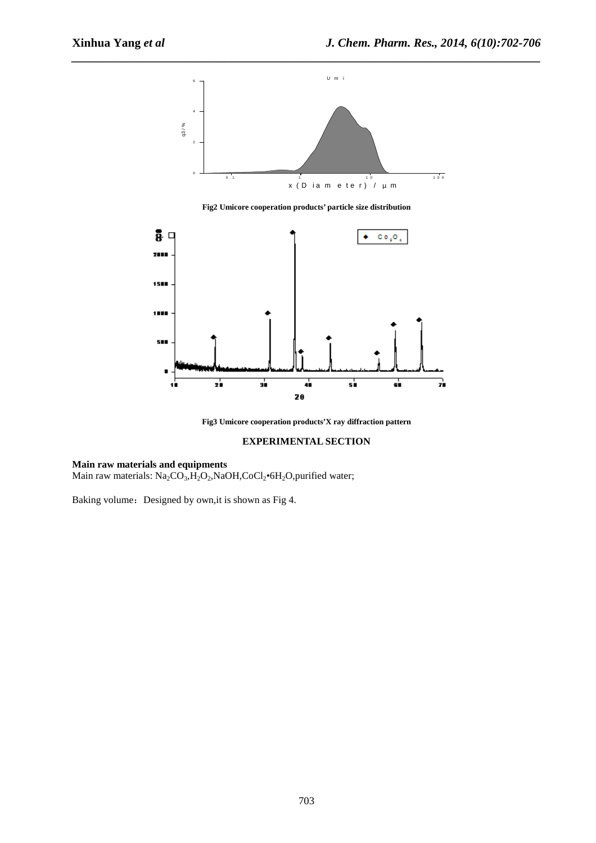

*\_\_\_\_\_\_\_\_\_\_\_\_\_\_\_\_\_\_\_\_\_\_\_\_\_\_\_\_\_\_\_\_\_\_\_\_\_\_\_\_\_\_\_\_\_\_\_\_\_\_\_\_\_\_\_\_\_\_\_\_\_\_\_\_\_\_\_\_\_\_\_\_\_\_\_\_\_\_*

**Fig2 Umicore cooperation products' particle size distribution** 



**Fig3 Umicore cooperation products'X ray diffraction pattern** 

# **EXPERIMENTAL SECTION**

# **Main raw materials and equipments**

Main raw materials: Na<sub>2</sub>CO<sub>3</sub>, H<sub>2</sub>O<sub>2</sub>, NaOH, CoCl<sub>2</sub>•6H<sub>2</sub>O, purified water;

Baking volume: Designed by own, it is shown as Fig 4.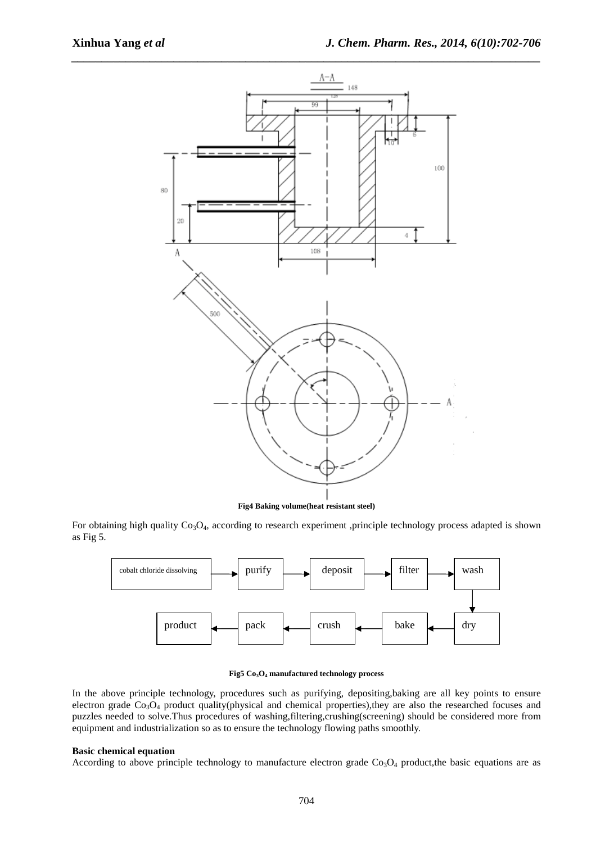

**Fig4 Baking volume(heat resistant steel)** 

For obtaining high quality  $Co<sub>3</sub>O<sub>4</sub>$ , according to research experiment ,principle technology process adapted is shown as Fig 5.



#### **Fig5 Co3O4 manufactured technology process**

In the above principle technology, procedures such as purifying, depositing,baking are all key points to ensure electron grade Co<sub>3</sub>O<sub>4</sub> product quality(physical and chemical properties),they are also the researched focuses and puzzles needed to solve.Thus procedures of washing,filtering,crushing(screening) should be considered more from equipment and industrialization so as to ensure the technology flowing paths smoothly.

#### **Basic chemical equation**

According to above principle technology to manufacture electron grade  $Co<sub>3</sub>O<sub>4</sub>$  product, the basic equations are as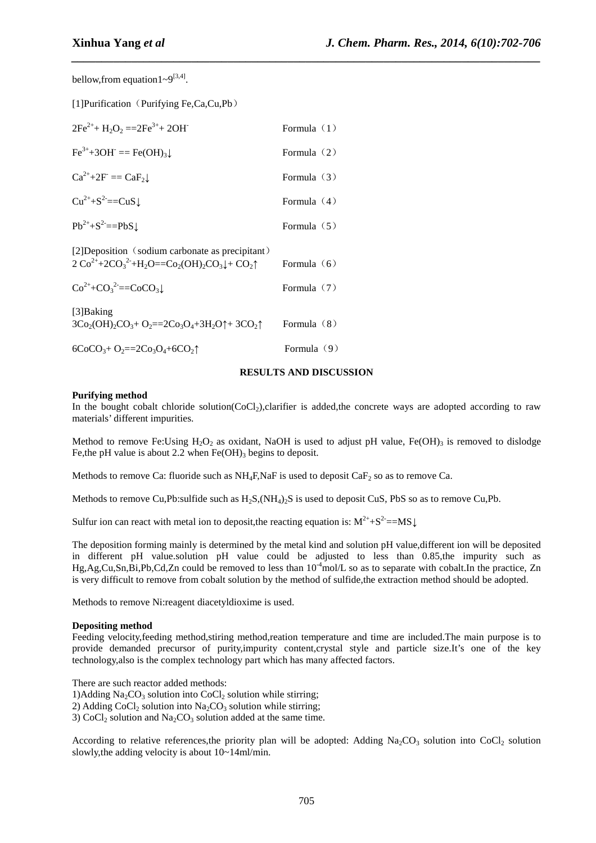bellow, from equation  $1 \sim 9^{[3,4]}$ .

[1]Purification (Purifying Fe,Ca,Cu,Pb)

| $2Fe^{2+} + H_2O_2 = 2Fe^{3+} + 2OH$ | Formula $(1)$ |
|--------------------------------------|---------------|
| $Fe^{3+}+3OH^- == Fe(OH)_3$ .        | Formula $(2)$ |
| $Ca^{2+}+2F = CaF_2$                 | Formula $(3)$ |
| $Cu^{2+}+S^{2}==CuS$ .               | Formula $(4)$ |
| $Pb^{2+}+S^2 == PbS$ .               | Formula $(5)$ |
|                                      |               |

[2]Deposition (sodium carbonate as precipitant)  $2 \text{Co}^{2+} + 2\text{CO}_3^2 + H_2\text{O} = \text{CO}_2(\text{OH})_2\text{CO}_3 + \text{CO}_2\text{O}$  Formula (6)

| $Co^{2+}+CO_3^{-2} == CoCO_3\downarrow$ | Formula $(7)$ |
|-----------------------------------------|---------------|
|-----------------------------------------|---------------|

[3]Baking  $3Co_2(OH)_2CO_3+O_2=2Co_3O_4+3H_2O\uparrow+3CO_2\uparrow$  Formula (8)

 $6CoCO<sub>3</sub>+ O<sub>2</sub>=2Co<sub>3</sub>O<sub>4</sub>+6CO<sub>2</sub>$ <sup> $\uparrow$ </sup> Formula (9)

### **RESULTS AND DISCUSSION**

*\_\_\_\_\_\_\_\_\_\_\_\_\_\_\_\_\_\_\_\_\_\_\_\_\_\_\_\_\_\_\_\_\_\_\_\_\_\_\_\_\_\_\_\_\_\_\_\_\_\_\_\_\_\_\_\_\_\_\_\_\_\_\_\_\_\_\_\_\_\_\_\_\_\_\_\_\_\_*

#### **Purifying method**

In the bought cobalt chloride solution( $CoCl<sub>2</sub>$ ),clarifier is added,the concrete ways are adopted according to raw materials' different impurities.

Method to remove Fe:Using H<sub>2</sub>O<sub>2</sub> as oxidant, NaOH is used to adjust pH value, Fe(OH)<sub>3</sub> is removed to dislodge Fe, the pH value is about 2.2 when  $Fe(OH)$ <sub>3</sub> begins to deposit.

Methods to remove Ca: fluoride such as  $NH_4F_1NaF$  is used to deposit CaF<sub>2</sub> so as to remove Ca.

Methods to remove Cu,Pb:sulfide such as  $H_2S$ ,  $(NH_4)_2S$  is used to deposit CuS, PbS so as to remove Cu,Pb.

Sulfur ion can react with metal ion to deposit, the reacting equation is:  $M^{2+} + S^2 = M S \downarrow$ 

The deposition forming mainly is determined by the metal kind and solution pH value,different ion will be deposited in different pH value.solution pH value could be adjusted to less than 0.85,the impurity such as Hg,Ag,Cu,Sn,Bi,Pb,Cd,Zn could be removed to less than  $10^{-4}$ mol/L so as to separate with cobalt.In the practice, Zn is very difficult to remove from cobalt solution by the method of sulfide,the extraction method should be adopted.

Methods to remove Ni:reagent diacetyldioxime is used.

#### **Depositing method**

Feeding velocity, feeding method, stiring method, reation temperature and time are included. The main purpose is to provide demanded precursor of purity,impurity content,crystal style and particle size.It's one of the key technology,also is the complex technology part which has many affected factors.

There are such reactor added methods:

1)Adding  $Na<sub>2</sub>CO<sub>3</sub>$  solution into CoCl<sub>2</sub> solution while stirring;

2) Adding CoCl<sub>2</sub> solution into  $Na<sub>2</sub>CO<sub>3</sub>$  solution while stirring;

3) CoCl<sub>2</sub> solution and Na<sub>2</sub>CO<sub>3</sub> solution added at the same time.

According to relative references, the priority plan will be adopted: Adding  $Na_2CO_3$  solution into CoCl<sub>2</sub> solution slowly,the adding velocity is about 10~14ml/min.